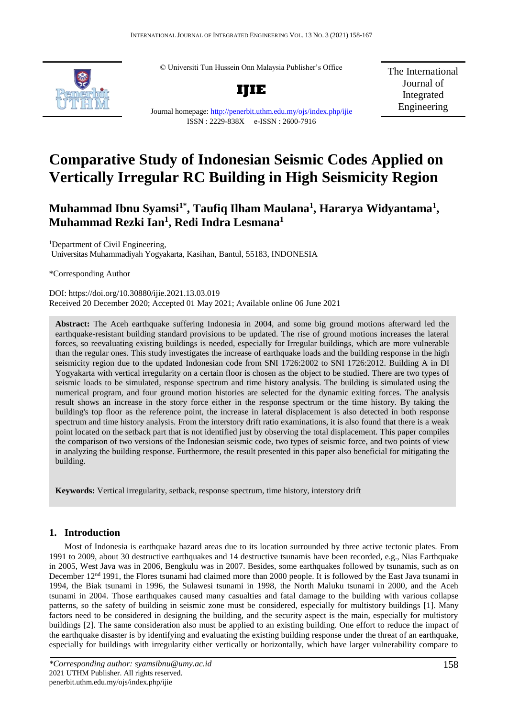© Universiti Tun Hussein Onn Malaysia Publisher's Office



**IJIE**

The International Journal of Integrated Engineering

Journal homepage:<http://penerbit.uthm.edu.my/ojs/index.php/ijie> ISSN : 2229-838X e-ISSN : 2600-7916

# **Comparative Study of Indonesian Seismic Codes Applied on Vertically Irregular RC Building in High Seismicity Region**

## **Muhammad Ibnu Syamsi1\*, Taufiq Ilham Maulana<sup>1</sup> , Hararya Widyantama<sup>1</sup> , Muhammad Rezki Ian<sup>1</sup> , Redi Indra Lesmana<sup>1</sup>**

<sup>1</sup>Department of Civil Engineering, Universitas Muhammadiyah Yogyakarta, Kasihan, Bantul, 55183, INDONESIA

\*Corresponding Author

DOI: https://doi.org/10.30880/ijie.2021.13.03.019 Received 20 December 2020; Accepted 01 May 2021; Available online 06 June 2021

**Abstract:** The Aceh earthquake suffering Indonesia in 2004, and some big ground motions afterward led the earthquake-resistant building standard provisions to be updated. The rise of ground motions increases the lateral forces, so reevaluating existing buildings is needed, especially for Irregular buildings, which are more vulnerable than the regular ones. This study investigates the increase of earthquake loads and the building response in the high seismicity region due to the updated Indonesian code from SNI 1726:2002 to SNI 1726:2012. Building A in DI Yogyakarta with vertical irregularity on a certain floor is chosen as the object to be studied. There are two types of seismic loads to be simulated, response spectrum and time history analysis. The building is simulated using the numerical program, and four ground motion histories are selected for the dynamic exiting forces. The analysis result shows an increase in the story force either in the response spectrum or the time history. By taking the building's top floor as the reference point, the increase in lateral displacement is also detected in both response spectrum and time history analysis. From the interstory drift ratio examinations, it is also found that there is a weak point located on the setback part that is not identified just by observing the total displacement. This paper compiles the comparison of two versions of the Indonesian seismic code, two types of seismic force, and two points of view in analyzing the building response. Furthermore, the result presented in this paper also beneficial for mitigating the building.

**Keywords:** Vertical irregularity, setback, response spectrum, time history, interstory drift

### **1. Introduction**

Most of Indonesia is earthquake hazard areas due to its location surrounded by three active tectonic plates. From 1991 to 2009, about 30 destructive earthquakes and 14 destructive tsunamis have been recorded, e.g., Nias Earthquake in 2005, West Java was in 2006, Bengkulu was in 2007. Besides, some earthquakes followed by tsunamis, such as on December 12<sup>nd</sup> 1991, the Flores tsunami had claimed more than 2000 people. It is followed by the East Java tsunami in 1994, the Biak tsunami in 1996, the Sulawesi tsunami in 1998, the North Maluku tsunami in 2000, and the Aceh tsunami in 2004. Those earthquakes caused many casualties and fatal damage to the building with various collapse patterns, so the safety of building in seismic zone must be considered, especially for multistory buildings [1]. Many factors need to be considered in designing the building, and the security aspect is the main, especially for multistory buildings [2]. The same consideration also must be applied to an existing building. One effort to reduce the impact of the earthquake disaster is by identifying and evaluating the existing building response under the threat of an earthquake, especially for buildings with irregularity either vertically or horizontally, which have larger vulnerability compare to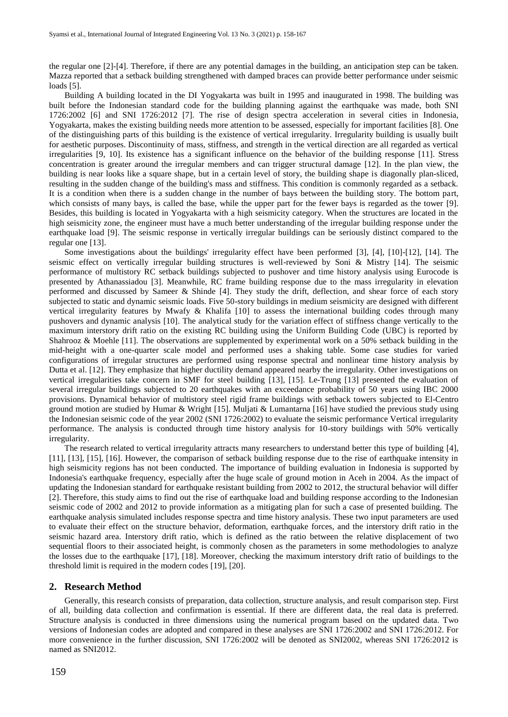the regular one [2]-[4]. Therefore, if there are any potential damages in the building, an anticipation step can be taken. Mazza reported that a setback building strengthened with damped braces can provide better performance under seismic loads [5].

Building A building located in the DI Yogyakarta was built in 1995 and inaugurated in 1998. The building was built before the Indonesian standard code for the building planning against the earthquake was made, both SNI 1726:2002 [6] and SNI 1726:2012 [7]. The rise of design spectra acceleration in several cities in Indonesia, Yogyakarta, makes the existing building needs more attention to be assessed, especially for important facilities [8]. One of the distinguishing parts of this building is the existence of vertical irregularity. Irregularity building is usually built for aesthetic purposes. Discontinuity of mass, stiffness, and strength in the vertical direction are all regarded as vertical irregularities [9, 10]. Its existence has a significant influence on the behavior of the building response [11]. Stress concentration is greater around the irregular members and can trigger structural damage [12]. In the plan view, the building is near looks like a square shape, but in a certain level of story, the building shape is diagonally plan-sliced, resulting in the sudden change of the building's mass and stiffness. This condition is commonly regarded as a setback. It is a condition when there is a sudden change in the number of bays between the building story. The bottom part, which consists of many bays, is called the base, while the upper part for the fewer bays is regarded as the tower [9]. Besides, this building is located in Yogyakarta with a high seismicity category. When the structures are located in the high seismicity zone, the engineer must have a much better understanding of the irregular building response under the earthquake load [9]. The seismic response in vertically irregular buildings can be seriously distinct compared to the regular one [13].

Some investigations about the buildings' irregularity effect have been performed [3], [4], [10]-[12], [14]. The seismic effect on vertically irregular building structures is well-reviewed by Soni & Mistry [14]. The seismic performance of multistory RC setback buildings subjected to pushover and time history analysis using Eurocode is presented by Athanassiadou [3]. Meanwhile, RC frame building response due to the mass irregularity in elevation performed and discussed by Sameer & Shinde [4]. They study the drift, deflection, and shear force of each story subjected to static and dynamic seismic loads. Five 50-story buildings in medium seismicity are designed with different vertical irregularity features by Mwafy & Khalifa [10] to assess the international building codes through many pushovers and dynamic analysis [10]. The analytical study for the variation effect of stiffness change vertically to the maximum interstory drift ratio on the existing RC building using the Uniform Building Code (UBC) is reported by Shahrooz & Moehle [11]. The observations are supplemented by experimental work on a 50% setback building in the mid-height with a one-quarter scale model and performed uses a shaking table. Some case studies for varied configurations of irregular structures are performed using response spectral and nonlinear time history analysis by Dutta et al. [12]. They emphasize that higher ductility demand appeared nearby the irregularity. Other investigations on vertical irregularities take concern in SMF for steel building [13], [15]. Le-Trung [13] presented the evaluation of several irregular buildings subjected to 20 earthquakes with an exceedance probability of 50 years using IBC 2000 provisions. Dynamical behavior of multistory steel rigid frame buildings with setback towers subjected to El-Centro ground motion are studied by Humar & Wright [15]. Muljati & Lumantarna [16] have studied the previous study using the Indonesian seismic code of the year 2002 (SNI 1726:2002) to evaluate the seismic performance Vertical irregularity performance. The analysis is conducted through time history analysis for 10-story buildings with 50% vertically irregularity.

The research related to vertical irregularity attracts many researchers to understand better this type of building [4], [11], [13], [15], [16]. However, the comparison of setback building response due to the rise of earthquake intensity in high seismicity regions has not been conducted. The importance of building evaluation in Indonesia is supported by Indonesia's earthquake frequency, especially after the huge scale of ground motion in Aceh in 2004. As the impact of updating the Indonesian standard for earthquake resistant building from 2002 to 2012, the structural behavior will differ [2]. Therefore, this study aims to find out the rise of earthquake load and building response according to the Indonesian seismic code of 2002 and 2012 to provide information as a mitigating plan for such a case of presented building. The earthquake analysis simulated includes response spectra and time history analysis. These two input parameters are used to evaluate their effect on the structure behavior, deformation, earthquake forces, and the interstory drift ratio in the seismic hazard area. Interstory drift ratio, which is defined as the ratio between the relative displacement of two sequential floors to their associated height, is commonly chosen as the parameters in some methodologies to analyze the losses due to the earthquake [17], [18]. Moreover, checking the maximum interstory drift ratio of buildings to the threshold limit is required in the modern codes [19], [20].

#### **2. Research Method**

Generally, this research consists of preparation, data collection, structure analysis, and result comparison step. First of all, building data collection and confirmation is essential. If there are different data, the real data is preferred. Structure analysis is conducted in three dimensions using the numerical program based on the updated data. Two versions of Indonesian codes are adopted and compared in these analyses are SNI 1726:2002 and SNI 1726:2012. For more convenience in the further discussion, SNI 1726:2002 will be denoted as SNI2002, whereas SNI 1726:2012 is named as SNI2012.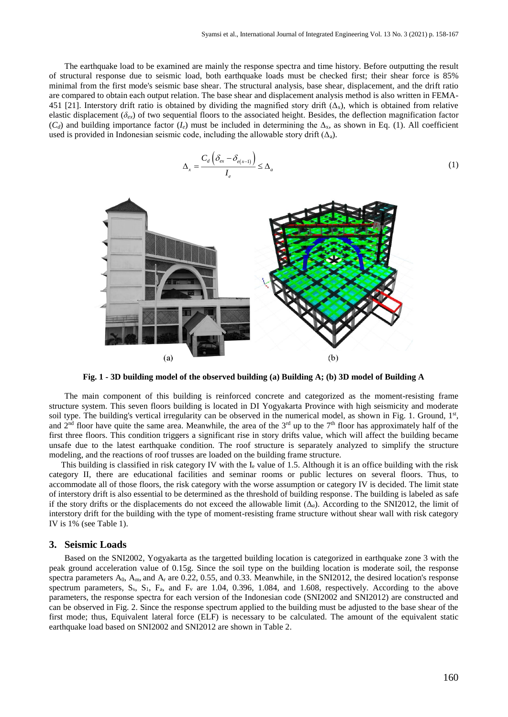The earthquake load to be examined are mainly the response spectra and time history. Before outputting the result of structural response due to seismic load, both earthquake loads must be checked first; their shear force is 85% minimal from the first mode's seismic base shear. The structural analysis, base shear, displacement, and the drift ratio are compared to obtain each output relation. The base shear and displacement analysis method is also written in FEMA-451 [21]. Interstory drift ratio is obtained by dividing the magnified story drift  $(\Delta_x)$ , which is obtained from relative elastic displacement ( $\delta_{ex}$ ) of two sequential floors to the associated height. Besides, the deflection magnification factor  $(C_d)$  and building importance factor  $(I_e)$  must be included in determining the  $\Delta_{\rm x}$ , as shown in Eq. (1). All coefficient used is provided in Indonesian seismic code, including the allowable story drift  $(\Delta_a)$ .

$$
\Delta_x = \frac{C_d \left( \delta_{ex} - \delta_{e(x-1)} \right)}{I_e} \le \Delta_a \tag{1}
$$



**Fig. 1 - 3D building model of the observed building (a) Building A; (b) 3D model of Building A**

The main component of this building is reinforced concrete and categorized as the moment-resisting frame structure system. This seven floors building is located in DI Yogyakarta Province with high seismicity and moderate soil type. The building's vertical irregularity can be observed in the numerical model, as shown in Fig. 1. Ground, 1st, and  $2<sup>nd</sup>$  floor have quite the same area. Meanwhile, the area of the  $3<sup>rd</sup>$  up to the  $7<sup>th</sup>$  floor has approximately half of the first three floors. This condition triggers a significant rise in story drifts value, which will affect the building became unsafe due to the latest earthquake condition. The roof structure is separately analyzed to simplify the structure modeling, and the reactions of roof trusses are loaded on the building frame structure.

This building is classified in risk category IV with the  $I_e$  value of 1.5. Although it is an office building with the risk category II, there are educational facilities and seminar rooms or public lectures on several floors. Thus, to accommodate all of those floors, the risk category with the worse assumption or category IV is decided. The limit state of interstory drift is also essential to be determined as the threshold of building response. The building is labeled as safe if the story drifts or the displacements do not exceed the allowable limit  $(\Delta_q)$ . According to the SNI2012, the limit of interstory drift for the building with the type of moment-resisting frame structure without shear wall with risk category IV is 1% (see Table 1).

#### **3. Seismic Loads**

Based on the SNI2002, Yogyakarta as the targetted building location is categorized in earthquake zone 3 with the peak ground acceleration value of 0.15g. Since the soil type on the building location is moderate soil, the response spectra parameters  $A_0$ ,  $A_m$ , and  $A_r$  are 0.22, 0.55, and 0.33. Meanwhile, in the SNI2012, the desired location's response spectrum parameters,  $S_s$ ,  $S_1$ ,  $F_a$ , and  $F_v$  are 1.04, 0.396, 1.084, and 1.608, respectively. According to the above parameters, the response spectra for each version of the Indonesian code (SNI2002 and SNI2012) are constructed and can be observed in Fig. 2. Since the response spectrum applied to the building must be adjusted to the base shear of the first mode; thus, Equivalent lateral force (ELF) is necessary to be calculated. The amount of the equivalent static earthquake load based on SNI2002 and SNI2012 are shown in Table 2.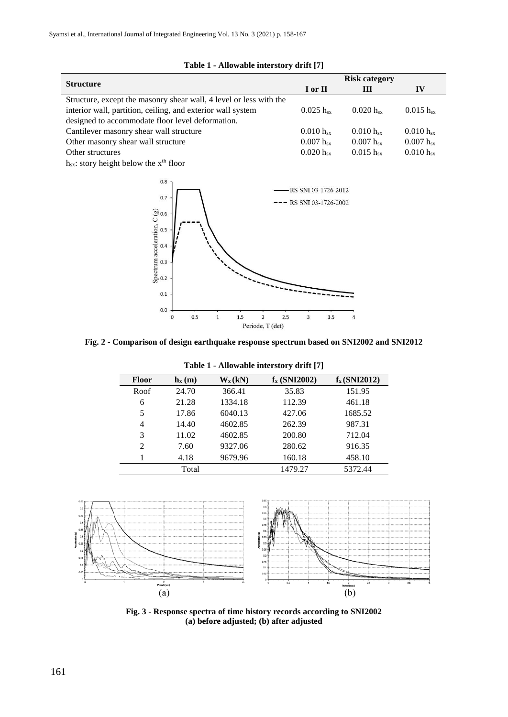|                                                                    | <b>Risk category</b> |                |                    |
|--------------------------------------------------------------------|----------------------|----------------|--------------------|
| <b>Structure</b>                                                   | I or II              | Ш              | IV                 |
| Structure, except the masonry shear wall, 4 level or less with the |                      |                |                    |
| interior wall, partition, ceiling, and exterior wall system        | $0.025 h_{sx}$       | $0.020 h_{sx}$ | $0.015 h_{sx}$     |
| designed to accommodate floor level deformation.                   |                      |                |                    |
| Cantilever masonry shear wall structure                            | $0.010 h_{sx}$       | $0.010 h_{sx}$ | $0.010 h_{\rm sv}$ |
| Other masonry shear wall structure                                 | $0.007 h_{sx}$       | $0.007 h_{sx}$ | $0.007 h_{sx}$     |
| Other structures                                                   | $0.020 h_{sx}$       | $0.015 h_{sx}$ | $0.010 h_{\rm sv}$ |

#### **Table 1 - Allowable interstory drift [7]**

 $h_{sx}$ : story height below the  $x^{th}$  floor



**Fig. 2 - Comparison of design earthquake response spectrum based on SNI2002 and SNI2012**

| $1$ ably $1 -$ Allowably interstory with $ t $ |                                       |           |                |                   |  |
|------------------------------------------------|---------------------------------------|-----------|----------------|-------------------|--|
| <b>Floor</b>                                   | $\mathbf{h}_{\mathbf{x}}(\mathbf{m})$ | $W_x(kN)$ | $f_x(SNI2002)$ | $f_{x}$ (SNI2012) |  |
| Roof                                           | 24.70                                 | 366.41    | 35.83          | 151.95            |  |
| 6                                              | 21.28                                 | 1334.18   | 112.39         | 461.18            |  |
| 5                                              | 17.86                                 | 6040.13   | 427.06         | 1685.52           |  |
| $\overline{4}$                                 | 14.40                                 | 4602.85   | 262.39         | 987.31            |  |
| 3                                              | 11.02                                 | 4602.85   | 200.80         | 712.04            |  |
| 2                                              | 7.60                                  | 9327.06   | 280.62         | 916.35            |  |
|                                                | 4.18                                  | 9679.96   | 160.18         | 458.10            |  |
|                                                | Total                                 |           | 1479.27        | 5372.44           |  |

**Table 1 - Allowable interstory drift [7]**



**Fig. 3 - Response spectra of time history records according to SNI2002 (a) before adjusted; (b) after adjusted**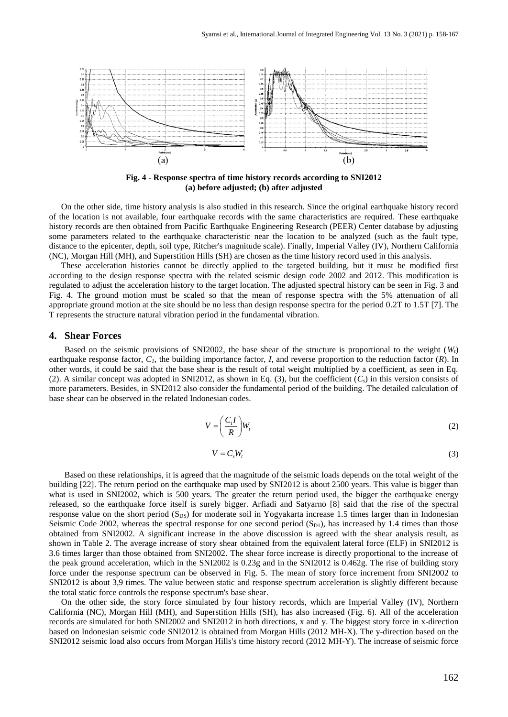

**Fig. 4 - Response spectra of time history records according to SNI2012 (a) before adjusted; (b) after adjusted**

On the other side, time history analysis is also studied in this research. Since the original earthquake history record of the location is not available, four earthquake records with the same characteristics are required. These earthquake history records are then obtained from Pacific Earthquake Engineering Research (PEER) Center database by adjusting some parameters related to the earthquake characteristic near the location to be analyzed (such as the fault type, distance to the epicenter, depth, soil type, Ritcher's magnitude scale). Finally, Imperial Valley (IV), Northern California (NC), Morgan Hill (MH), and Superstition Hills (SH) are chosen as the time history record used in this analysis.

These acceleration histories cannot be directly applied to the targeted building, but it must be modified first according to the design response spectra with the related seismic design code 2002 and 2012. This modification is regulated to adjust the acceleration history to the target location. The adjusted spectral history can be seen in Fig. 3 and Fig. 4. The ground motion must be scaled so that the mean of response spectra with the 5% attenuation of all appropriate ground motion at the site should be no less than design response spectra for the period 0.2T to 1.5T [7]. The T represents the structure natural vibration period in the fundamental vibration.

#### **4. Shear Forces**

Based on the seismic provisions of SNI2002, the base shear of the structure is proportional to the weight  $(W_t)$ earthquake response factor, *C1*, the building importance factor, *I*, and reverse proportion to the reduction factor (*R*). In other words, it could be said that the base shear is the result of total weight multiplied by a coefficient, as seen in Eq. (2). A similar concept was adopted in SNI2012, as shown in Eq. (3), but the coefficient  $(C_s)$  in this version consists of more parameters. Besides, in SNI2012 also consider the fundamental period of the building. The detailed calculation of base shear can be observed in the related Indonesian codes.

$$
V = \left(\frac{C_1 I}{R}\right) W_t \tag{2}
$$

$$
V = C_s W_t \tag{3}
$$

Based on these relationships, it is agreed that the magnitude of the seismic loads depends on the total weight of the building [22]. The return period on the earthquake map used by SNI2012 is about 2500 years. This value is bigger than what is used in SNI2002, which is 500 years. The greater the return period used, the bigger the earthquake energy released, so the earthquake force itself is surely bigger. Arfiadi and Satyarno [8] said that the rise of the spectral response value on the short period (S<sub>DS</sub>) for moderate soil in Yogyakarta increase 1.5 times larger than in Indonesian Seismic Code 2002, whereas the spectral response for one second period  $(S_{D1})$ , has increased by 1.4 times than those obtained from SNI2002. A significant increase in the above discussion is agreed with the shear analysis result, as shown in Table 2. The average increase of story shear obtained from the equivalent lateral force (ELF) in SNI2012 is 3.6 times larger than those obtained from SNI2002. The shear force increase is directly proportional to the increase of the peak ground acceleration, which in the SNI2002 is 0.23g and in the SNI2012 is 0.462g. The rise of building story force under the response spectrum can be observed in Fig. 5. The mean of story force increment from SNI2002 to SNI2012 is about 3,9 times. The value between static and response spectrum acceleration is slightly different because the total static force controls the response spectrum's base shear.

On the other side, the story force simulated by four history records, which are Imperial Valley (IV), Northern California (NC), Morgan Hill (MH), and Superstition Hills (SH), has also increased (Fig. 6). All of the acceleration records are simulated for both SNI2002 and SNI2012 in both directions, x and y. The biggest story force in x-direction based on Indonesian seismic code SNI2012 is obtained from Morgan Hills (2012 MH-X). The y-direction based on the SNI2012 seismic load also occurs from Morgan Hills's time history record (2012 MH-Y). The increase of seismic force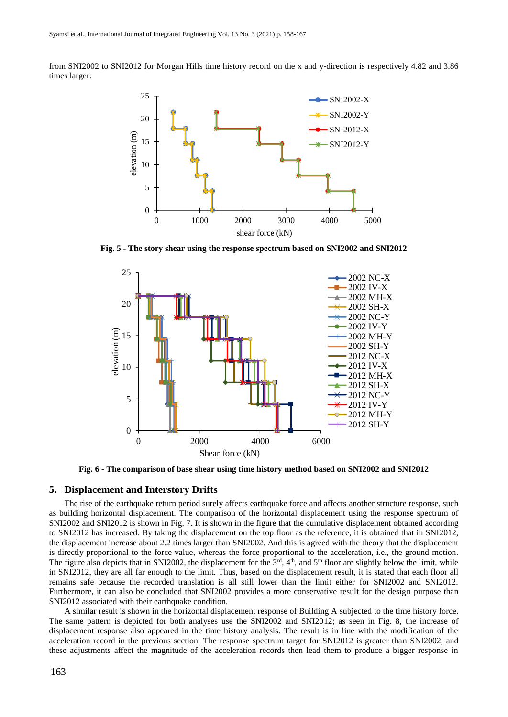from SNI2002 to SNI2012 for Morgan Hills time history record on the x and y-direction is respectively 4.82 and 3.86 times larger.



**Fig. 5 - The story shear using the response spectrum based on SNI2002 and SNI2012**



**Fig. 6 - The comparison of base shear using time history method based on SNI2002 and SNI2012**

#### **5. Displacement and Interstory Drifts**

The rise of the earthquake return period surely affects earthquake force and affects another structure response, such as building horizontal displacement. The comparison of the horizontal displacement using the response spectrum of SNI2002 and SNI2012 is shown in Fig. 7. It is shown in the figure that the cumulative displacement obtained according to SNI2012 has increased. By taking the displacement on the top floor as the reference, it is obtained that in SNI2012, the displacement increase about 2.2 times larger than SNI2002. And this is agreed with the theory that the displacement is directly proportional to the force value, whereas the force proportional to the acceleration, i.e., the ground motion. The figure also depicts that in SNI2002, the displacement for the  $3<sup>rd</sup>$ ,  $4<sup>th</sup>$ , and  $5<sup>th</sup>$  floor are slightly below the limit, while in SNI2012, they are all far enough to the limit. Thus, based on the displacement result, it is stated that each floor all remains safe because the recorded translation is all still lower than the limit either for SNI2002 and SNI2012. Furthermore, it can also be concluded that SNI2002 provides a more conservative result for the design purpose than SNI2012 associated with their earthquake condition.

A similar result is shown in the horizontal displacement response of Building A subjected to the time history force. The same pattern is depicted for both analyses use the SNI2002 and SNI2012; as seen in Fig. 8, the increase of displacement response also appeared in the time history analysis. The result is in line with the modification of the acceleration record in the previous section. The response spectrum target for SNI2012 is greater than SNI2002, and these adjustments affect the magnitude of the acceleration records then lead them to produce a bigger response in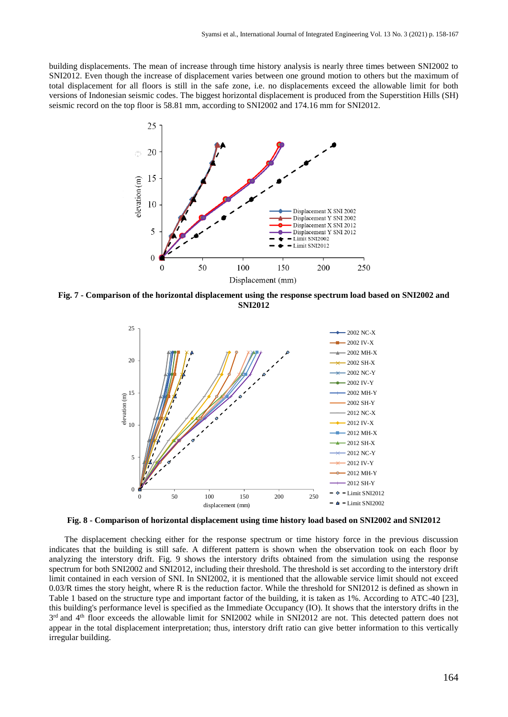building displacements. The mean of increase through time history analysis is nearly three times between SNI2002 to SNI2012. Even though the increase of displacement varies between one ground motion to others but the maximum of total displacement for all floors is still in the safe zone, i.e. no displacements exceed the allowable limit for both versions of Indonesian seismic codes. The biggest horizontal displacement is produced from the Superstition Hills (SH) seismic record on the top floor is 58.81 mm, according to SNI2002 and 174.16 mm for SNI2012.



**Fig. 7 - Comparison of the horizontal displacement using the response spectrum load based on SNI2002 and SNI2012**



**Fig. 8 - Comparison of horizontal displacement using time history load based on SNI2002 and SNI2012**

The displacement checking either for the response spectrum or time history force in the previous discussion indicates that the building is still safe. A different pattern is shown when the observation took on each floor by analyzing the interstory drift. Fig. 9 shows the interstory drifts obtained from the simulation using the response spectrum for both SNI2002 and SNI2012, including their threshold. The threshold is set according to the interstory drift limit contained in each version of SNI. In SNI2002, it is mentioned that the allowable service limit should not exceed 0.03/R times the story height, where R is the reduction factor. While the threshold for SNI2012 is defined as shown in Table 1 based on the structure type and important factor of the building, it is taken as 1%. According to ATC-40 [23], this building's performance level is specified as the Immediate Occupancy (IO). It shows that the interstory drifts in the  $3<sup>rd</sup>$  and  $4<sup>th</sup>$  floor exceeds the allowable limit for SNI2002 while in SNI2012 are not. This detected pattern does not appear in the total displacement interpretation; thus, interstory drift ratio can give better information to this vertically irregular building.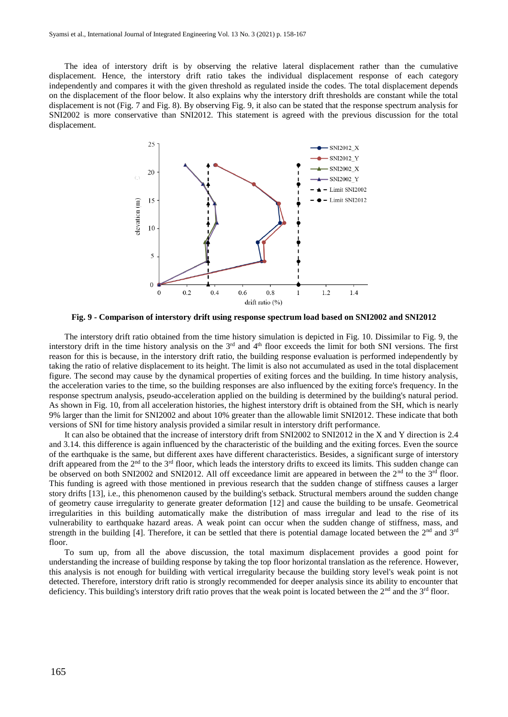The idea of interstory drift is by observing the relative lateral displacement rather than the cumulative displacement. Hence, the interstory drift ratio takes the individual displacement response of each category independently and compares it with the given threshold as regulated inside the codes. The total displacement depends on the displacement of the floor below. It also explains why the interstory drift thresholds are constant while the total displacement is not (Fig. 7 and Fig. 8). By observing Fig. 9, it also can be stated that the response spectrum analysis for SNI2002 is more conservative than SNI2012. This statement is agreed with the previous discussion for the total displacement.



**Fig. 9 - Comparison of interstory drift using response spectrum load based on SNI2002 and SNI2012**

The interstory drift ratio obtained from the time history simulation is depicted in Fig. 10. Dissimilar to Fig. 9, the interstory drift in the time history analysis on the  $3<sup>rd</sup>$  and  $4<sup>th</sup>$  floor exceeds the limit for both SNI versions. The first reason for this is because, in the interstory drift ratio, the building response evaluation is performed independently by taking the ratio of relative displacement to its height. The limit is also not accumulated as used in the total displacement figure. The second may cause by the dynamical properties of exiting forces and the building. In time history analysis, the acceleration varies to the time, so the building responses are also influenced by the exiting force's frequency. In the response spectrum analysis, pseudo-acceleration applied on the building is determined by the building's natural period. As shown in Fig. 10, from all acceleration histories, the highest interstory drift is obtained from the SH, which is nearly 9% larger than the limit for SNI2002 and about 10% greater than the allowable limit SNI2012. These indicate that both versions of SNI for time history analysis provided a similar result in interstory drift performance.

It can also be obtained that the increase of interstory drift from SNI2002 to SNI2012 in the X and Y direction is 2.4 and 3.14. this difference is again influenced by the characteristic of the building and the exiting forces. Even the source of the earthquake is the same, but different axes have different characteristics. Besides, a significant surge of interstory drift appeared from the 2<sup>nd</sup> to the 3<sup>rd</sup> floor, which leads the interstory drifts to exceed its limits. This sudden change can be observed on both SNI2002 and SNI2012. All off exceedance limit are appeared in between the 2<sup>nd</sup> to the 3<sup>rd</sup> floor. This funding is agreed with those mentioned in previous research that the sudden change of stiffness causes a larger story drifts [13], i.e., this phenomenon caused by the building's setback. Structural members around the sudden change of geometry cause irregularity to generate greater deformation [12] and cause the building to be unsafe. Geometrical irregularities in this building automatically make the distribution of mass irregular and lead to the rise of its vulnerability to earthquake hazard areas. A weak point can occur when the sudden change of stiffness, mass, and strength in the building [4]. Therefore, it can be settled that there is potential damage located between the  $2<sup>nd</sup>$  and  $3<sup>rd</sup>$ floor.

To sum up, from all the above discussion, the total maximum displacement provides a good point for understanding the increase of building response by taking the top floor horizontal translation as the reference. However, this analysis is not enough for building with vertical irregularity because the building story level's weak point is not detected. Therefore, interstory drift ratio is strongly recommended for deeper analysis since its ability to encounter that deficiency. This building's interstory drift ratio proves that the weak point is located between the  $2<sup>nd</sup>$  and the  $3<sup>rd</sup>$  floor.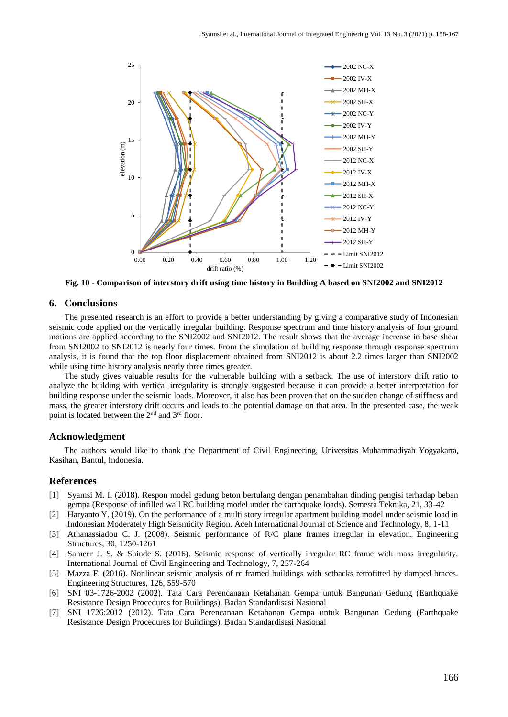

**Fig. 10 - Comparison of interstory drift using time history in Building A based on SNI2002 and SNI2012**

#### **6. Conclusions**

The presented research is an effort to provide a better understanding by giving a comparative study of Indonesian seismic code applied on the vertically irregular building. Response spectrum and time history analysis of four ground motions are applied according to the SNI2002 and SNI2012. The result shows that the average increase in base shear from SNI2002 to SNI2012 is nearly four times. From the simulation of building response through response spectrum analysis, it is found that the top floor displacement obtained from SNI2012 is about 2.2 times larger than SNI2002 while using time history analysis nearly three times greater.

The study gives valuable results for the vulnerable building with a setback. The use of interstory drift ratio to analyze the building with vertical irregularity is strongly suggested because it can provide a better interpretation for building response under the seismic loads. Moreover, it also has been proven that on the sudden change of stiffness and mass, the greater interstory drift occurs and leads to the potential damage on that area. In the presented case, the weak point is located between the 2<sup>nd</sup> and 3<sup>rd</sup> floor.

#### **Acknowledgment**

The authors would like to thank the Department of Civil Engineering, Universitas Muhammadiyah Yogyakarta, Kasihan, Bantul, Indonesia.

#### **References**

- [1] Syamsi M. I. (2018). Respon model gedung beton bertulang dengan penambahan dinding pengisi terhadap beban gempa (Response of infilled wall RC building model under the earthquake loads). Semesta Teknika, 21, 33-42
- [2] Haryanto Y. (2019). On the performance of a multi story irregular apartment building model under seismic load in Indonesian Moderately High Seismicity Region. Aceh International Journal of Science and Technology, 8, 1-11
- [3] Athanassiadou C. J. (2008). Seismic performance of R/C plane frames irregular in elevation. Engineering Structures, 30, 1250-1261
- [4] Sameer J. S. & Shinde S. (2016). Seismic response of vertically irregular RC frame with mass irregularity. International Journal of Civil Engineering and Technology, 7, 257-264
- [5] Mazza F. (2016). Nonlinear seismic analysis of rc framed buildings with setbacks retrofitted by damped braces. Engineering Structures, 126, 559-570
- [6] SNI 03-1726-2002 (2002). Tata Cara Perencanaan Ketahanan Gempa untuk Bangunan Gedung (Earthquake Resistance Design Procedures for Buildings). Badan Standardisasi Nasional
- [7] SNI 1726:2012 (2012). Tata Cara Perencanaan Ketahanan Gempa untuk Bangunan Gedung (Earthquake Resistance Design Procedures for Buildings). Badan Standardisasi Nasional